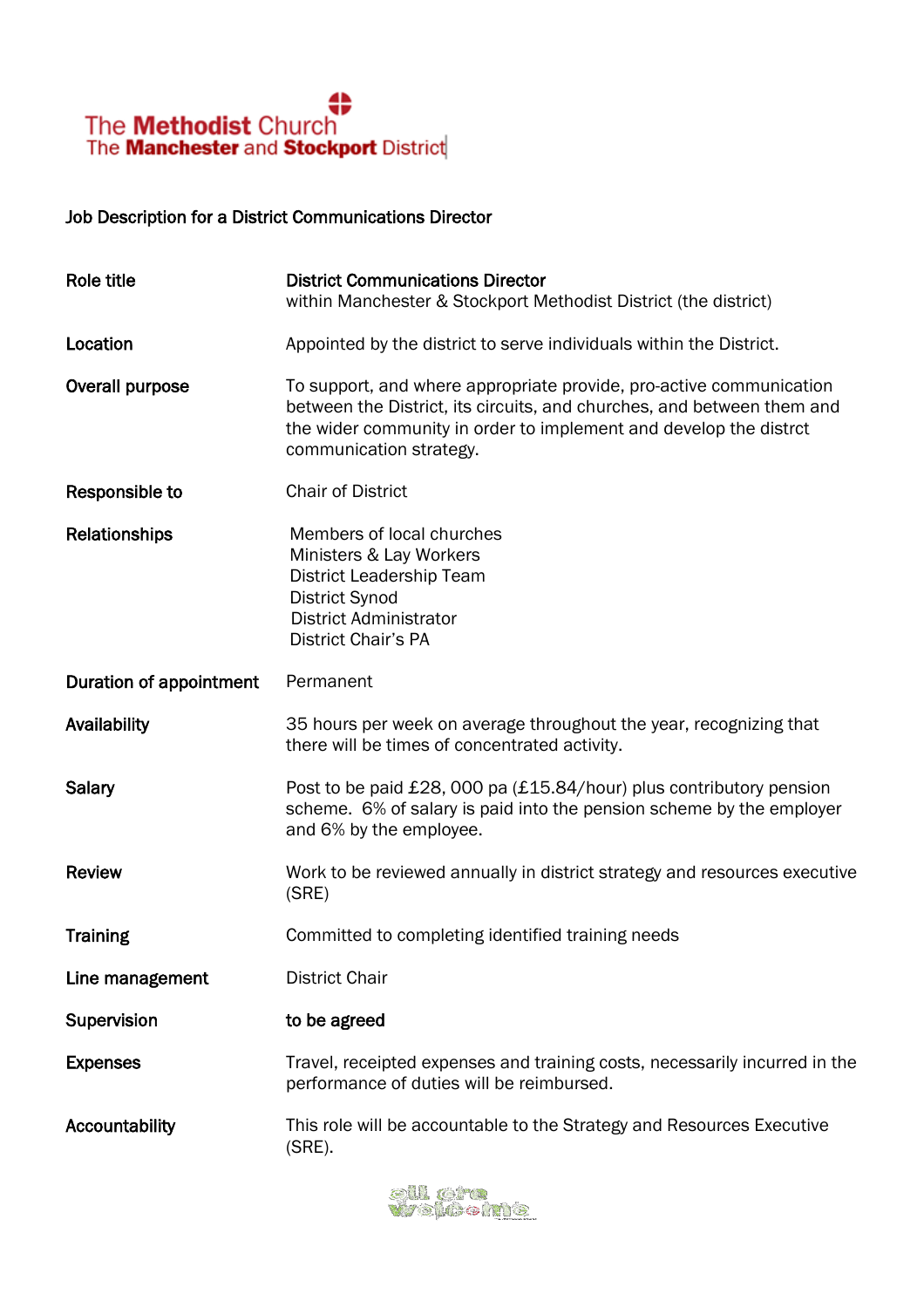

#### Job Description for a District Communications Director

| Role title              | <b>District Communications Director</b><br>within Manchester & Stockport Methodist District (the district)                                                                                                                                    |
|-------------------------|-----------------------------------------------------------------------------------------------------------------------------------------------------------------------------------------------------------------------------------------------|
| Location                | Appointed by the district to serve individuals within the District.                                                                                                                                                                           |
| Overall purpose         | To support, and where appropriate provide, pro-active communication<br>between the District, its circuits, and churches, and between them and<br>the wider community in order to implement and develop the distrct<br>communication strategy. |
| Responsible to          | <b>Chair of District</b>                                                                                                                                                                                                                      |
| Relationships           | Members of local churches<br>Ministers & Lay Workers<br>District Leadership Team<br>District Synod<br><b>District Administrator</b><br><b>District Chair's PA</b>                                                                             |
| Duration of appointment | Permanent                                                                                                                                                                                                                                     |
| Availability            | 35 hours per week on average throughout the year, recognizing that<br>there will be times of concentrated activity.                                                                                                                           |
| Salary                  | Post to be paid £28, 000 pa (£15.84/hour) plus contributory pension<br>scheme. 6% of salary is paid into the pension scheme by the employer<br>and 6% by the employee.                                                                        |
| <b>Review</b>           | Work to be reviewed annually in district strategy and resources executive<br>(SRE)                                                                                                                                                            |
| <b>Training</b>         | Committed to completing identified training needs                                                                                                                                                                                             |
| Line management         | <b>District Chair</b>                                                                                                                                                                                                                         |
| Supervision             | to be agreed                                                                                                                                                                                                                                  |
| <b>Expenses</b>         | Travel, receipted expenses and training costs, necessarily incurred in the<br>performance of duties will be reimbursed.                                                                                                                       |
| Accountability          | This role will be accountable to the Strategy and Resources Executive<br>$(SRE)$ .                                                                                                                                                            |

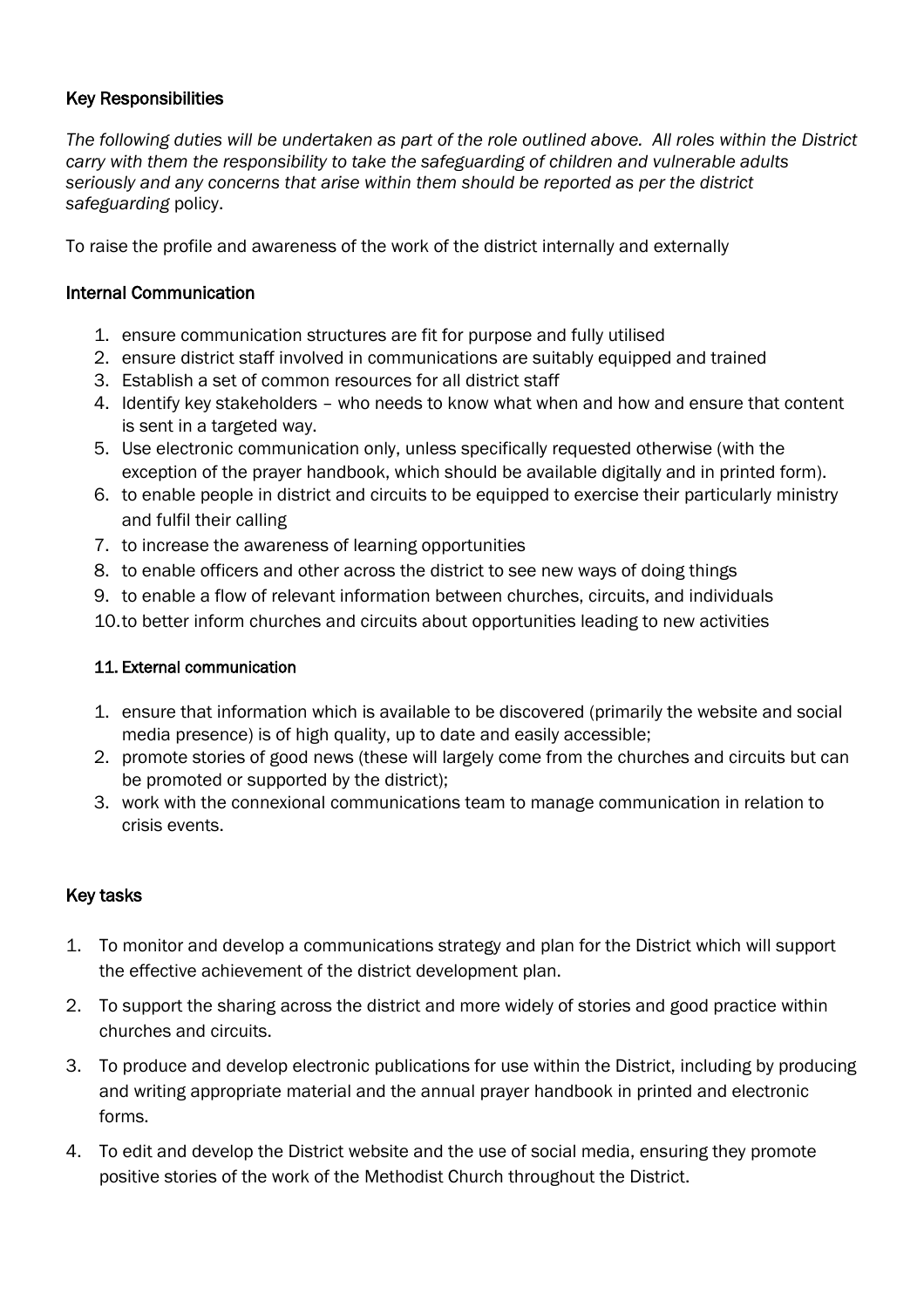# Key Responsibilities

*The following duties will be undertaken as part of the role outlined above. All roles within the District carry with them the responsibility to take the safeguarding of children and vulnerable adults seriously and any concerns that arise within them should be reported as per the district safeguarding* policy.

To raise the profile and awareness of the work of the district internally and externally

# Internal Communication

- 1. ensure communication structures are fit for purpose and fully utilised
- 2. ensure district staff involved in communications are suitably equipped and trained
- 3. Establish a set of common resources for all district staff
- 4. Identify key stakeholders who needs to know what when and how and ensure that content is sent in a targeted way.
- 5. Use electronic communication only, unless specifically requested otherwise (with the exception of the prayer handbook, which should be available digitally and in printed form).
- 6. to enable people in district and circuits to be equipped to exercise their particularly ministry and fulfil their calling
- 7. to increase the awareness of learning opportunities
- 8. to enable officers and other across the district to see new ways of doing things
- 9. to enable a flow of relevant information between churches, circuits, and individuals
- 10.to better inform churches and circuits about opportunities leading to new activities

## 11. External communication

- 1. ensure that information which is available to be discovered (primarily the website and social media presence) is of high quality, up to date and easily accessible;
- 2. promote stories of good news (these will largely come from the churches and circuits but can be promoted or supported by the district);
- 3. work with the connexional communications team to manage communication in relation to crisis events.

## Key tasks

- 1. To monitor and develop a communications strategy and plan for the District which will support the effective achievement of the district development plan.
- 2. To support the sharing across the district and more widely of stories and good practice within churches and circuits.
- 3. To produce and develop electronic publications for use within the District, including by producing and writing appropriate material and the annual prayer handbook in printed and electronic forms.
- 4. To edit and develop the District website and the use of social media, ensuring they promote positive stories of the work of the Methodist Church throughout the District.